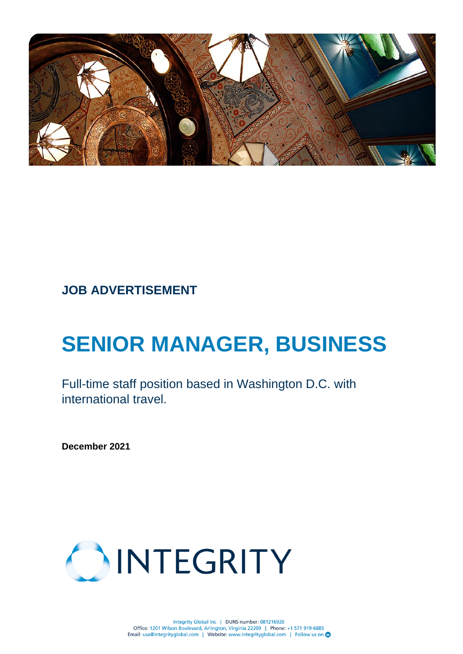

# **JOB ADVERTISEMENT**

# **SENIOR MANAGER, BUSINESS**

Full-time staff position based in Washington D.C. with international travel.

**December 2021**

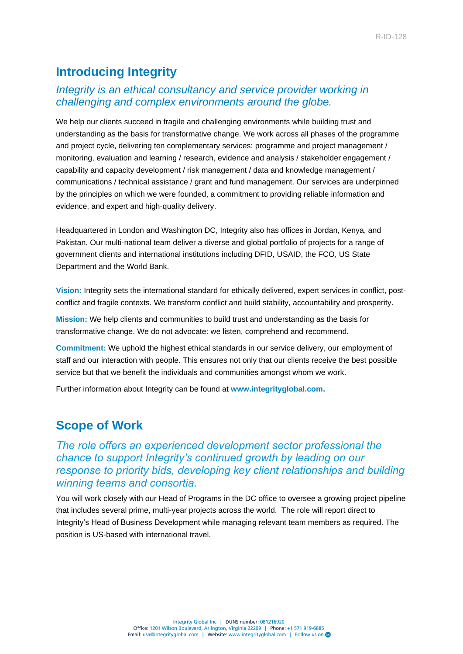## **Introducing Integrity**

### *Integrity is an ethical consultancy and service provider working in challenging and complex environments around the globe.*

We help our clients succeed in fragile and challenging environments while building trust and understanding as the basis for transformative change. We work across all phases of the programme and project cycle, delivering ten complementary services: programme and project management / monitoring, evaluation and learning / research, evidence and analysis / stakeholder engagement / capability and capacity development / risk management / data and knowledge management / communications / technical assistance / grant and fund management. Our services are underpinned by the principles on which we were founded, a commitment to providing reliable information and evidence, and expert and high-quality delivery.

Headquartered in London and Washington DC, Integrity also has offices in Jordan, Kenya, and Pakistan. Our multi-national team deliver a diverse and global portfolio of projects for a range of government clients and international institutions including DFID, USAID, the FCO, US State Department and the World Bank.

**Vision:** Integrity sets the international standard for ethically delivered, expert services in conflict, postconflict and fragile contexts. We transform conflict and build stability, accountability and prosperity.

**Mission:** We help clients and communities to build trust and understanding as the basis for transformative change. We do not advocate: we listen, comprehend and recommend.

**Commitment:** We uphold the highest ethical standards in our service delivery, our employment of staff and our interaction with people. This ensures not only that our clients receive the best possible service but that we benefit the individuals and communities amongst whom we work.

Further information about Integrity can be found at **[www.integrityglobal.com.](http://www.integrityglobal.com/)**

### **Scope of Work**

*The role offers an experienced development sector professional the chance to support Integrity's continued growth by leading on our response to priority bids, developing key client relationships and building winning teams and consortia.* 

You will work closely with our Head of Programs in the DC office to oversee a growing project pipeline that includes several prime, multi-year projects across the world. The role will report direct to Integrity's Head of Business Development while managing relevant team members as required. The position is US-based with international travel.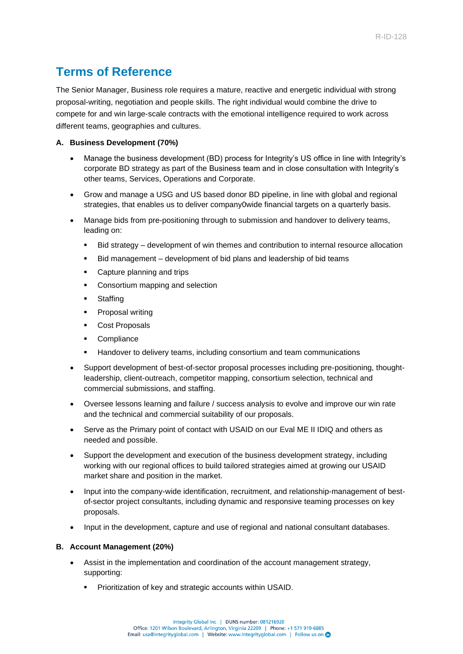### **Terms of Reference**

The Senior Manager, Business role requires a mature, reactive and energetic individual with strong proposal-writing, negotiation and people skills. The right individual would combine the drive to compete for and win large-scale contracts with the emotional intelligence required to work across different teams, geographies and cultures.

#### **A. Business Development (70%)**

- Manage the business development (BD) process for Integrity's US office in line with Integrity's corporate BD strategy as part of the Business team and in close consultation with Integrity's other teams, Services, Operations and Corporate.
- Grow and manage a USG and US based donor BD pipeline, in line with global and regional strategies, that enables us to deliver company0wide financial targets on a quarterly basis.
- Manage bids from pre-positioning through to submission and handover to delivery teams, leading on:
	- Bid strategy development of win themes and contribution to internal resource allocation
	- Bid management development of bid plans and leadership of bid teams
	- Capture planning and trips
	- Consortium mapping and selection
	- **Staffing**
	- Proposal writing
	- Cost Proposals
	- Compliance
	- **EXEDENT Handover to delivery teams, including consortium and team communications**
- Support development of best-of-sector proposal processes including pre-positioning, thoughtleadership, client-outreach, competitor mapping, consortium selection, technical and commercial submissions, and staffing.
- Oversee lessons learning and failure / success analysis to evolve and improve our win rate and the technical and commercial suitability of our proposals.
- Serve as the Primary point of contact with USAID on our Eval ME II IDIQ and others as needed and possible.
- Support the development and execution of the business development strategy, including working with our regional offices to build tailored strategies aimed at growing our USAID market share and position in the market.
- Input into the company-wide identification, recruitment, and relationship-management of bestof-sector project consultants, including dynamic and responsive teaming processes on key proposals.
- Input in the development, capture and use of regional and national consultant databases.

#### **B. Account Management (20%)**

- Assist in the implementation and coordination of the account management strategy, supporting:
	- Prioritization of key and strategic accounts within USAID.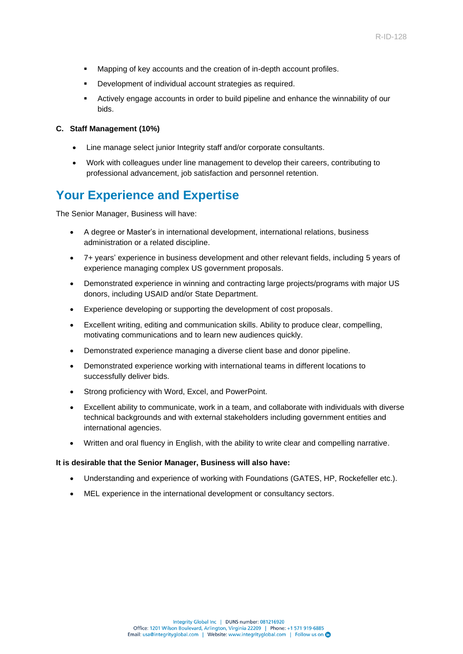- Mapping of key accounts and the creation of in-depth account profiles.
- Development of individual account strategies as required.
- Actively engage accounts in order to build pipeline and enhance the winnability of our bids.

#### **C. Staff Management (10%)**

- Line manage select junior Integrity staff and/or corporate consultants.
- Work with colleagues under line management to develop their careers, contributing to professional advancement, job satisfaction and personnel retention.

### **Your Experience and Expertise**

The Senior Manager, Business will have:

- A degree or Master's in international development, international relations, business administration or a related discipline.
- 7+ years' experience in business development and other relevant fields, including 5 years of experience managing complex US government proposals.
- Demonstrated experience in winning and contracting large projects/programs with major US donors, including USAID and/or State Department.
- Experience developing or supporting the development of cost proposals.
- Excellent writing, editing and communication skills. Ability to produce clear, compelling, motivating communications and to learn new audiences quickly.
- Demonstrated experience managing a diverse client base and donor pipeline.
- Demonstrated experience working with international teams in different locations to successfully deliver bids.
- Strong proficiency with Word, Excel, and PowerPoint.
- Excellent ability to communicate, work in a team, and collaborate with individuals with diverse technical backgrounds and with external stakeholders including government entities and international agencies.
- Written and oral fluency in English, with the ability to write clear and compelling narrative.

#### **It is desirable that the Senior Manager, Business will also have:**

- Understanding and experience of working with Foundations (GATES, HP, Rockefeller etc.).
- MEL experience in the international development or consultancy sectors.